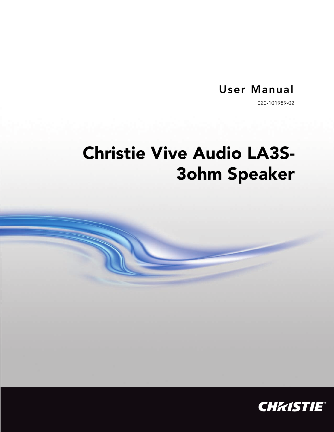## **User Manual**

020-101989-02

# **Christie Vive Audio LA3S-3ohm Speaker**

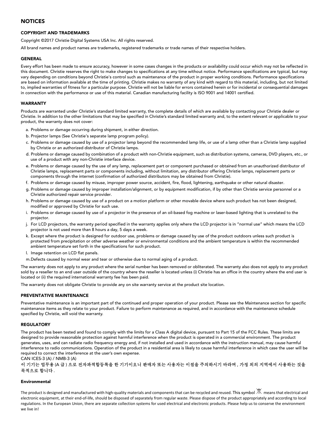#### **NOTICES**

#### **COPYRIGHT AND TRADEMARKS**

Copyright ©2017 Christie Digital Systems USA Inc. All rights reserved.

All brand names and product names are trademarks, registered trademarks or trade names of their respective holders.

#### **GENERAL**

Every effort has been made to ensure accuracy, however in some cases changes in the products or availability could occur which may not be reflected in this document. Christie reserves the right to make changes to specifications at any time without notice. Performance specifications are typical, but may vary depending on conditions beyond Christie's control such as maintenance of the product in proper working conditions. Performance specifications are based on information available at the time of printing. Christie makes no warranty of any kind with regard to this material, including, but not limited to, implied warranties of fitness for a particular purpose. Christie will not be liable for errors contained herein or for incidental or consequential damages in connection with the performance or use of this material. Canadian manufacturing facility is ISO 9001 and 14001 certified.

#### **WARRANTY**

Products are warranted under Christie's standard limited warranty, the complete details of which are available by contacting your Christie dealer or Christie. In addition to the other limitations that may be specified in Christie's standard limited warranty and, to the extent relevant or applicable to your product, the warranty does not cover:

- a. Problems or damage occurring during shipment, in either direction.
- b. Projector lamps (See Christie's separate lamp program policy).
- c. Problems or damage caused by use of a projector lamp beyond the recommended lamp life, or use of a lamp other than a Christie lamp supplied by Christie or an authorized distributor of Christie lamps.
- d. Problems or damage caused by combination of a product with non-Christie equipment, such as distribution systems, cameras, DVD players, etc., or use of a product with any non-Christie interface device.
- e. Problems or damage caused by the use of any lamp, replacement part or component purchased or obtained from an unauthorized distributor of Christie lamps, replacement parts or components including, without limitation, any distributor offering Christie lamps, replacement parts or components through the internet (confirmation of authorized distributors may be obtained from Christie).
- f. Problems or damage caused by misuse, improper power source, accident, fire, flood, lightening, earthquake or other natural disaster.
- g. Problems or damage caused by improper installation/alignment, or by equipment modification, if by other than Christie service personnel or a Christie authorized repair service provider.
- h. Problems or damage caused by use of a product on a motion platform or other movable device where such product has not been designed, modified or approved by Christie for such use.
- i. Problems or damage caused by use of a projector in the presence of an oil-based fog machine or laser-based lighting that is unrelated to the projector.
- j. For LCD projectors, the warranty period specified in the warranty applies only where the LCD projector is in "normal use" which means the LCD projector is not used more than 8 hours a day, 5 days a week.
- k. Except where the product is designed for outdoor use, problems or damage caused by use of the product outdoors unless such product is protected from precipitation or other adverse weather or environmental conditions and the ambient temperature is within the recommended ambient temperature set forth in the specifications for such product.
- l. Image retention on LCD flat panels.
- m.Defects caused by normal wear and tear or otherwise due to normal aging of a product.

The warranty does not apply to any product where the serial number has been removed or obliterated. The warranty also does not apply to any product sold by a reseller to an end user outside of the country where the reseller is located unless (i) Christie has an office in the country where the end user is located or (ii) the required international warranty fee has been paid.

The warranty does not obligate Christie to provide any on site warranty service at the product site location.

#### **PREVENTATIVE MAINTENANCE**

Preventative maintenance is an important part of the continued and proper operation of your product. Please see the Maintenance section for specific maintenance items as they relate to your product. Failure to perform maintenance as required, and in accordance with the maintenance schedule specified by Christie, will void the warranty.

#### **REGULATORY**

The product has been tested and found to comply with the limits for a Class A digital device, pursuant to Part 15 of the FCC Rules. These limits are designed to provide reasonable protection against harmful interference when the product is operated in a commercial environment. The product generates, uses, and can radiate radio frequency energy and, if not installed and used in accordance with the instruction manual, may cause harmful interference to radio communications. Operation of the product in a residential area is likely to cause harmful interference in which case the user will be required to correct the interference at the user's own expense.

CAN ICES-3 (A) / NMB-3 (A)

#### 이 기기는 업무용 (A 급 ) 으로 전자파적합등록을 한 기기이오니 판매자 또는 사용자는 이점을 주의하시기 바라며 , 가정 외의 지역에서 사용하는 것을 목적으로 합니다 .

#### **Environmental**

The product is designed and manufactured with high-quality materials and components that can be recycled and reused. This symbol  $\mathbb X$  means that electrical and electronic equipment, at their end-of-life, should be disposed of separately from regular waste. Please dispose of the product appropriately and according to local regulations. In the European Union, there are separate collection systems for used electrical and electronic products. Please help us to conserve the environment we live in!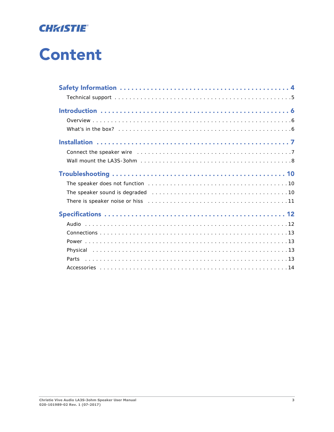

# **Content**

| Connect the speaker wire contained and contained a series of the speaker wire contained a series of the speaker                                                  |  |
|------------------------------------------------------------------------------------------------------------------------------------------------------------------|--|
|                                                                                                                                                                  |  |
|                                                                                                                                                                  |  |
|                                                                                                                                                                  |  |
|                                                                                                                                                                  |  |
| There is speaker noise or hiss contract to contact the contract of the speaker noise or his contract to contact the contract of the speaker noise or his speaker |  |
|                                                                                                                                                                  |  |
|                                                                                                                                                                  |  |
|                                                                                                                                                                  |  |
|                                                                                                                                                                  |  |
|                                                                                                                                                                  |  |
| Parts                                                                                                                                                            |  |
|                                                                                                                                                                  |  |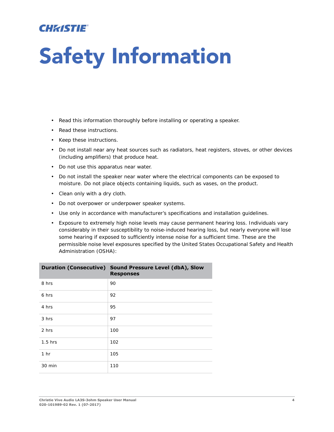## **CHRISTIE**

# <span id="page-3-0"></span>**Safety Information**

- Read this information thoroughly before installing or operating a speaker.
- Read these instructions.
- Keep these instructions.
- Do not install near any heat sources such as radiators, heat registers, stoves, or other devices (including amplifiers) that produce heat.
- Do not use this apparatus near water.
- Do not install the speaker near water where the electrical components can be exposed to moisture. Do not place objects containing liquids, such as vases, on the product.
- Clean only with a dry cloth.
- Do not overpower or underpower speaker systems.
- Use only in accordance with manufacturer's specifications and installation guidelines.
- Exposure to extremely high noise levels may cause permanent hearing loss. Individuals vary considerably in their susceptibility to noise-induced hearing loss, but nearly everyone will lose some hearing if exposed to sufficiently intense noise for a sufficient time. These are the permissible noise level exposures specified by the United States Occupational Safety and Health Administration (OSHA):

|                 | Duration (Consecutive) Sound Pressure Level (dbA), Slow<br><b>Responses</b> |
|-----------------|-----------------------------------------------------------------------------|
| 8 hrs           | 90                                                                          |
| 6 hrs           | 92                                                                          |
| 4 hrs           | 95                                                                          |
| 3 hrs           | 97                                                                          |
| 2 hrs           | 100                                                                         |
| $1.5$ hrs       | 102                                                                         |
| 1 <sub>hr</sub> | 105                                                                         |
| 30 min          | 110                                                                         |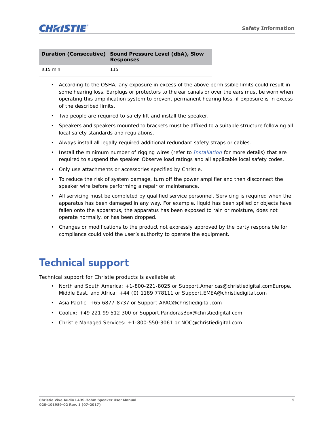

|               | Duration (Consecutive) Sound Pressure Level (dbA), Slow<br><b>Responses</b> |
|---------------|-----------------------------------------------------------------------------|
| $\leq$ 15 min | $-115$                                                                      |

- According to the OSHA, any exposure in excess of the above permissible limits could result in some hearing loss. Earplugs or protectors to the ear canals or over the ears must be worn when operating this amplification system to prevent permanent hearing loss, if exposure is in excess of the described limits.
- Two people are required to safely lift and install the speaker.
- Speakers and speakers mounted to brackets must be affixed to a suitable structure following all local safety standards and regulations.
- Always install all legally required additional redundant safety straps or cables.
- Install the minimum number of rigging wires (refer to *Installation* for more details) that are required to suspend the speaker. Observe load ratings and all applicable local safety codes.
- Only use attachments or accessories specified by Christie.
- To reduce the risk of system damage, turn off the power amplifier and then disconnect the speaker wire before performing a repair or maintenance.
- All servicing must be completed by qualified service personnel. Servicing is required when the apparatus has been damaged in any way. For example, liquid has been spilled or objects have fallen onto the apparatus, the apparatus has been exposed to rain or moisture, does not operate normally, or has been dropped.
- Changes or modifications to the product not expressly approved by the party responsible for compliance could void the user's authority to operate the equipment.

## <span id="page-4-0"></span>**Technical support**

Technical support for Christie products is available at:

- North and South America: +1-800-221-8025 or Support.Americas@christiedigital.comEurope, Middle East, and Africa: +44 (0) 1189 778111 or Support.EMEA@christiedigital.com
- Asia Pacific: +65 6877-8737 or Support.APAC@christiedigital.com
- Coolux: +49 221 99 512 300 or Support.PandorasBox@christiedigital.com
- Christie Managed Services: +1-800-550-3061 or NOC@christiedigital.com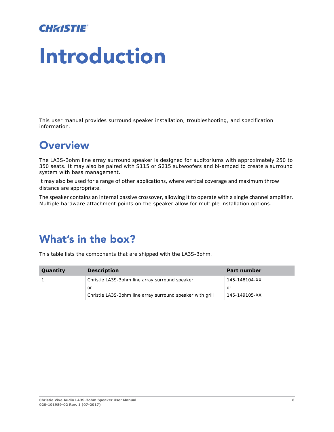## **CHRISTIE**

# <span id="page-5-0"></span>**Introduction**

This user manual provides surround speaker installation, troubleshooting, and specification information.

# <span id="page-5-1"></span>**Overview**

The LA3S-3ohm line array surround speaker is designed for auditoriums with approximately 250 to 350 seats. It may also be paired with S115 or S215 subwoofers and bi-amped to create a surround system with bass management.

It may also be used for a range of other applications, where vertical coverage and maximum throw distance are appropriate.

The speaker contains an internal passive crossover, allowing it to operate with a single channel amplifier. Multiple hardware attachment points on the speaker allow for multiple installation options.

## <span id="page-5-2"></span>**What's in the box?**

This table lists the components that are shipped with the LA3S-3ohm.

| <b>Quantity</b> | <b>Description</b>                                        | <b>Part number</b> |
|-----------------|-----------------------------------------------------------|--------------------|
|                 | Christie LA3S-30hm line array surround speaker            | 145-148104-XX      |
|                 | or                                                        | or                 |
|                 | Christie LA3S-3ohm line array surround speaker with grill | 145-149105-XX      |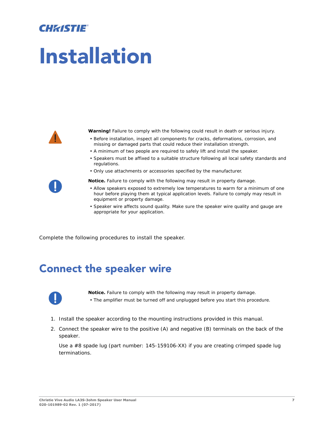## **CHAISTIE**

# <span id="page-6-0"></span>**Installation**



**Warning!** Failure to comply with the following could result in death or serious injury.

- Before installation, inspect all components for cracks, deformations, corrosion, and missing or damaged parts that could reduce their installation strength.
- A minimum of two people are required to safely lift and install the speaker.
- Speakers must be affixed to a suitable structure following all local safety standards and regulations.
- Only use attachments or accessories specified by the manufacturer.
- **Notice.** Failure to comply with the following may result in property damage.
- Allow speakers exposed to extremely low temperatures to warm for a minimum of one hour before playing them at typical application levels. Failure to comply may result in equipment or property damage.
- Speaker wire affects sound quality. Make sure the speaker wire quality and gauge are appropriate for your application.

Complete the following procedures to install the speaker.

## <span id="page-6-1"></span>**Connect the speaker wire**



**Notice.** Failure to comply with the following may result in property damage.

- The amplifier must be turned off and unplugged before you start this procedure.
- 1. Install the speaker according to the mounting instructions provided in this manual.
- 2. Connect the speaker wire to the positive (A) and negative (B) terminals on the back of the speaker.

Use a #8 spade lug (part number: 145-159106-XX) if you are creating crimped spade lug terminations.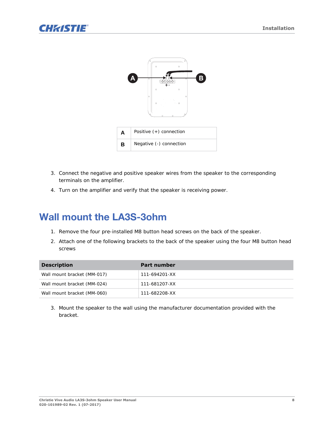



- 3. Connect the negative and positive speaker wires from the speaker to the corresponding terminals on the amplifier.
- 4. Turn on the amplifier and verify that the speaker is receiving power.

### <span id="page-7-0"></span>**Wall mount the LA3S-3ohm**

- 1. Remove the four pre-installed M8 button head screws on the back of the speaker.
- 2. Attach one of the following brackets to the back of the speaker using the four M8 button head screws

| <b>Description</b>          | Part number   |
|-----------------------------|---------------|
| Wall mount bracket (MM-017) | 111-694201-XX |
| Wall mount bracket (MM-024) | 111-681207-XX |
| Wall mount bracket (MM-060) | 111-682208-XX |

3. Mount the speaker to the wall using the manufacturer documentation provided with the bracket.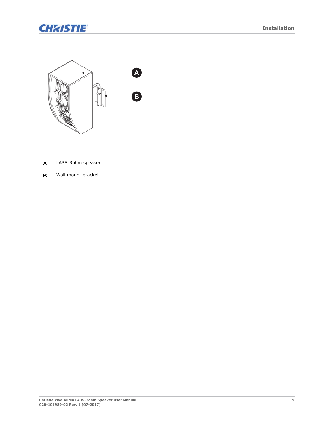

.



| A | LA3S-3ohm speaker  |
|---|--------------------|
| в | Wall mount bracket |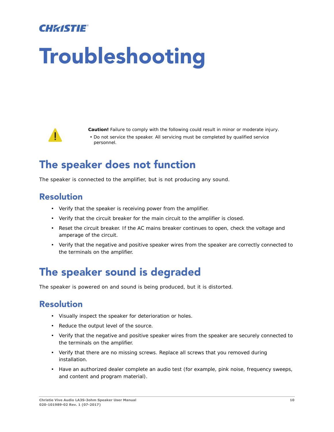## CHRISTIE

# <span id="page-9-0"></span>**Troubleshooting**



**Caution!** Failure to comply with the following could result in minor or moderate injury.

• Do not service the speaker. All servicing must be completed by qualified service personnel.

## <span id="page-9-1"></span>**The speaker does not function**

The speaker is connected to the amplifier, but is not producing any sound.

### **Resolution**

- Verify that the speaker is receiving power from the amplifier.
- Verify that the circuit breaker for the main circuit to the amplifier is closed.
- Reset the circuit breaker. If the AC mains breaker continues to open, check the voltage and amperage of the circuit.
- Verify that the negative and positive speaker wires from the speaker are correctly connected to the terminals on the amplifier.

# <span id="page-9-2"></span>**The speaker sound is degraded**

The speaker is powered on and sound is being produced, but it is distorted.

### **Resolution**

- Visually inspect the speaker for deterioration or holes.
- Reduce the output level of the source.
- Verify that the negative and positive speaker wires from the speaker are securely connected to the terminals on the amplifier.
- Verify that there are no missing screws. Replace all screws that you removed during installation.
- Have an authorized dealer complete an audio test (for example, pink noise, frequency sweeps, and content and program material).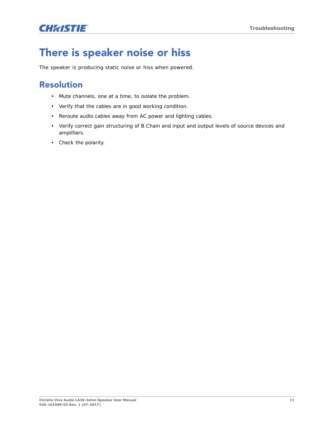## **CHRISTIE®**

# <span id="page-10-0"></span>**There is speaker noise or hiss**

The speaker is producing static noise or hiss when powered.

### **Resolution**

- Mute channels, one at a time, to isolate the problem.
- Verify that the cables are in good working condition.
- Reroute audio cables away from AC power and lighting cables.
- Verify correct gain structuring of B Chain and input and output levels of source devices and amplifiers.
- Check the polarity.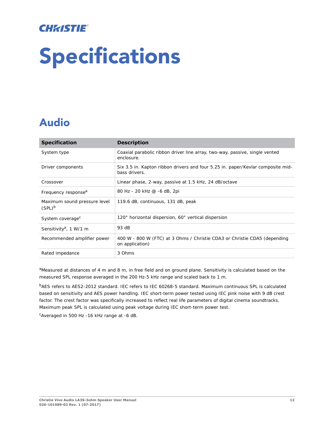## **CHRISTIE**®

# <span id="page-11-0"></span>**Specifications**

# <span id="page-11-1"></span>**Audio**

| <b>Specification</b>                      | <b>Description</b>                                                                               |
|-------------------------------------------|--------------------------------------------------------------------------------------------------|
| System type                               | Coaxial parabolic ribbon driver line array, two-way, passive, single vented<br>enclosure.        |
| Driver components                         | Six 3.5 in. Kapton ribbon drivers and four 5.25 in. paper/Kevlar composite mid-<br>bass drivers. |
| Crossover                                 | Linear phase, 2-way, passive at 1.5 kHz, 24 dB/octave                                            |
| Frequency response <sup>a</sup>           | 80 Hz - 20 kHz @ -6 dB, 2pi                                                                      |
| Maximum sound pressure level<br>$(SPL)^b$ | 119.6 dB, continuous, 131 dB, peak                                                               |
| System coverage <sup>c</sup>              | 120° horizontal dispersion, 60° vertical dispersion                                              |
| Sensitivity <sup>a</sup> , 1 W/1 m        | 93 dB                                                                                            |
| Recommended amplifier power               | 400 W - 800 W (FTC) at 3 Ohms / Christie CDA3 or Christie CDA5 (depending<br>on application)     |
| Rated impedance                           | 3 Ohms                                                                                           |

aMeasured at distances of 4 m and 8 m, in free field and on ground plane. Sensitivity is calculated based on the measured SPL response averaged in the 200 Hz-5 kHz range and scaled back to 1 m.

bAES refers to AES2-2012 standard. IEC refers to IEC 60268-5 standard. Maximum continuous SPL is calculated based on sensitivity and AES power handling. IEC short-term power tested using IEC pink noise with 9 dB crest factor. The crest factor was specifically increased to reflect real life parameters of digital cinema soundtracks. Maximum peak SPL is calculated using peak voltage during IEC short-term power test.

<sup>c</sup>Averaged in 500 Hz -16 kHz range at -6 dB.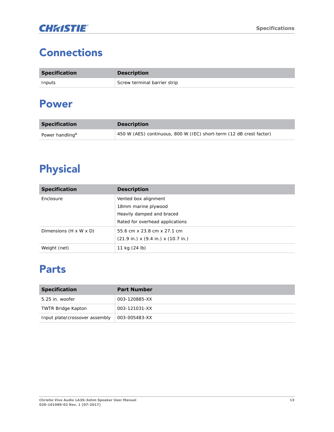# <span id="page-12-0"></span>**Connections**

| <b>Specification</b> | <b>Description</b>           |
|----------------------|------------------------------|
| Inputs               | Screw terminal barrier strip |

## <span id="page-12-1"></span>**Power**

| <b>Specification</b>        | <b>Description</b>                                                  |
|-----------------------------|---------------------------------------------------------------------|
| Power handling <sup>a</sup> | 450 W (AES) continuous, 800 W (IEC) short-term (12 dB crest factor) |

# <span id="page-12-2"></span>**Physical**

| <b>Specification</b>   | <b>Description</b>                                                                                          |
|------------------------|-------------------------------------------------------------------------------------------------------------|
| Enclosure              | Vented box alignment<br>18mm marine plywood<br>Heavily damped and braced<br>Rated for overhead applications |
| Dimensions (H x W x D) | 55.6 cm x 23.8 cm x 27.1 cm<br>$(21.9 \text{ in.}) \times (9.4 \text{ in.}) \times (10.7 \text{ in.})$      |
| Weight (net)           | 11 kg (24 lb)                                                                                               |

## <span id="page-12-3"></span>**Parts**

| <b>Specification</b>           | <b>Part Number</b> |
|--------------------------------|--------------------|
| 5.25 in. woofer                | 003-120885-XX      |
| <b>TWTR Bridge Kapton</b>      | 003-121031-XX      |
| Input plate/crossover assembly | 003-005483-XX      |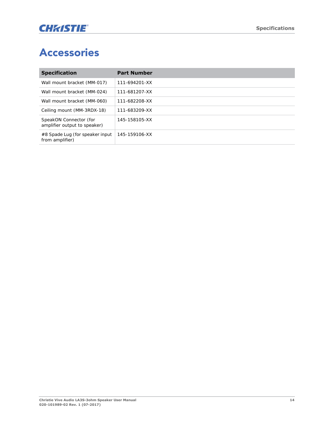# <span id="page-13-0"></span>**Accessories**

| <b>Specification</b>                                   | <b>Part Number</b> |
|--------------------------------------------------------|--------------------|
| Wall mount bracket (MM-017)                            | 111-694201-XX      |
| Wall mount bracket (MM-024)                            | 111-681207-XX      |
| Wall mount bracket (MM-060)                            | 111-682208-XX      |
| Ceiling mount (MM-3RDX-18)                             | 111-683209-XX      |
| SpeakON Connector (for<br>amplifier output to speaker) | 145-158105-XX      |
| #8 Spade Lug (for speaker input<br>from amplifier)     | 145-159106-XX      |